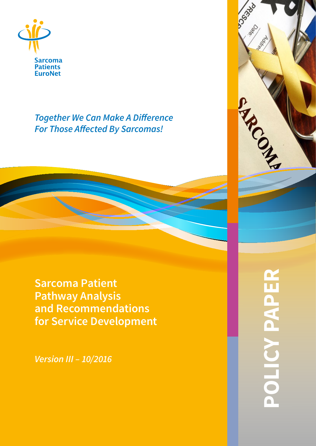

*Together We Can Make A Difference For Those Affected By Sarcomas!*

**Sarcoma Patient Pathway Analysis and Recommendations for Service Development**

*Version III – 10/2016*

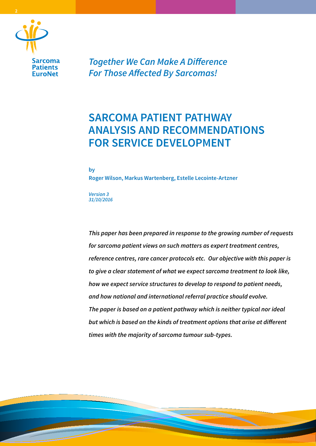

**2**

*Together We Can Make A Difference For Those Affected By Sarcomas!*

# **SARCOMA PATIENT PATHWAY ANALYSIS AND RECOMMENDATIONS FOR SERVICE DEVELOPMENT**

**by**

**Roger Wilson, Markus Wartenberg, Estelle Lecointe-Artzner**

*Version 3 31/10/2016*

*This paper has been prepared in response to the growing number of requests for sarcoma patient views on such matters as expert treatment centres, reference centres, rare cancer protocols etc. Our objective with this paper is to give a clear statement of what we expect sarcoma treatment to look like, how we expect service structures to develop to respond to patient needs, and how national and international referral practice should evolve. The paper is based on a patient pathway which is neither typical nor ideal but which is based on the kinds of treatment options that arise at different times with the majority of sarcoma tumour sub-types.*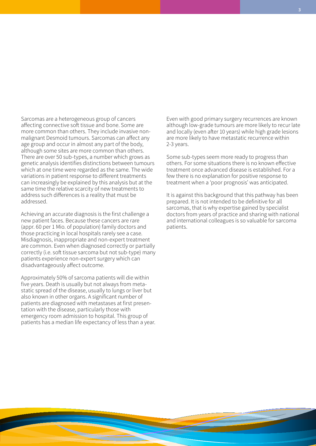Sarcomas are a heterogeneous group of cancers affecting connective soft tissue and bone. Some are more common than others. They include invasive nonmalignant Desmoid tumours. Sarcomas can affect any age group and occur in almost any part of the body, although some sites are more common than others. There are over 50 sub-types, a number which grows as genetic analysis identifies distinctions between tumours which at one time were regarded as the same. The wide variations in patient response to different treatments can increasingly be explained by this analysis but at the same time the relative scarcity of new treatments to address such differences is a reality that must be addressed.

Achieving an accurate diagnosis is the first challenge a new patient faces. Because these cancers are rare (appr. 60 per 1 Mio. of population) family doctors and those practicing in local hospitals rarely see a case. Misdiagnosis, inappropriate and non-expert treatment are common. Even when diagnosed correctly or partially correctly (i.e. soft tissue sarcoma but not sub-type) many patients experience non-expert surgery which can disadvantageously affect outcome.

Approximately 50% of sarcoma patients will die within five years. Death is usually but not always from metastatic spread of the disease, usually to lungs or liver but also known in other organs. A significant number of patients are diagnosed with metastases at first presentation with the disease, particularly those with emergency room admission to hospital. This group of patients has a median life expectancy of less than a year. Even with good primary surgery recurrences are known although low-grade tumours are more likely to recur late and locally (even after 10 years) while high grade lesions are more likely to have metastatic recurrence within 2-3 years.

Some sub-types seem more ready to progress than others. For some situations there is no known effective treatment once advanced disease is established. For a few there is no explanation for positive response to treatment when a 'poor prognosis' was anticipated.

It is against this background that this pathway has been prepared. It is not intended to be definitive for all sarcomas, that is why expertise gained by specialist doctors from years of practice and sharing with national and international colleagues is so valuable for sarcoma patients.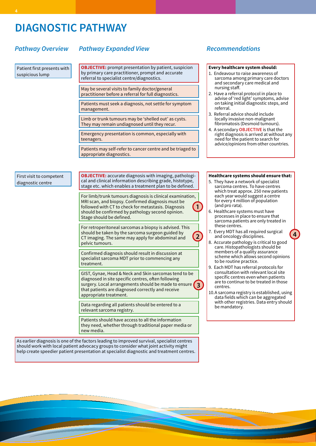## **DIAGNOSTIC PATHWAY**

### *Pathway Overview*

### *Pathway Expanded View Recommendations*

Patient first presents with suspicious lump

**OBJECTIVE:** prompt presentation by patient, suspicion by primary care practitioner, prompt and accurate

May be several visits to family doctor/general practitioner before a referral for full diagnostics.

referral to specialist centre/diagnostics.

Patients must seek a diagnosis, not settle for symptom management.

Limb or trunk tumours may be 'shelled out' as cysts. They may remain undiagnosed until they recur.

Emergency presentation is common, especially with teenagers.

Patients may self-refer to cancer centre and be triaged to appropriate diagnostics.

First visit to competent diagnostic centre

**OBJECTIVE:** accurate diagnosis with imaging, pathological and clinical information describing grade, histotype, stage etc. which enables a treatment plan to be defined.

For limb/trunk tumours diagnosis is clinical examination, MRI scan, and biopsy. Confirmed diagnosis must be followed with CT to check for metastasis. Diagnosis should be confirmed by pathology second opinion. Stage should be defined. **1**

For retroperitoneal sarcomas a biopsy is advised. This should be taken by the sarcoma surgeon guided by CT imaging. The same may apply for abdominal and pelvic tumours.

Confirmed diagnosis should result in discussion at specialist sarcoma MDT prior to commencing any treatment.

GIST, Gynae, Head & Neck and Skin sarcomas tend to be diagnosed in site specific centres, often following surgery. Local arrangements should be made to ensure **3** that patients are diagnosed correctly and receive appropriate treatment.

Data regarding all patients should be entered to a relevant sarcoma registry.

Patients should have access to all the information they need, whether through traditional paper media or new media.

As earlier diagnosis is one of the factors leading to improved survival, specialist centres should work with local patient advocacy groups to consider what joint activity might help create speedier patient presentation at specialist diagnostic and treatment centres.

### **Every healthcare system should:**

- 1. Endeavour to raise awareness of sarcoma among primary care doctors and secondary care medical and nursing staff.
- 2. Have a referral protocol in place to advise of 'red light' symptoms, advise on taking initial diagnostic steps, and referral.
- 3. Referral advice should include locally invasive non-malignant fibromatosis (Desmoid tumours).
- 4. A secondary **OBJECTIVE** is that the right diagnosis is arrived at without any need for the patient to search for advice/opinions from other countries.

### **Healthcare systems should ensure that:**

- 5. They have a network of specialist sarcoma centres. To have centres which treat approx. 250 new patients each year would suggest a centre for every 4 million of population (and pro rata).
- 6. Healthcare systems must have processes in place to ensure that sarcoma patients are only treated in these centres.
- 7. Every MDT has all required surgical and oncology disciplines.

**2**

8. Accurate pathology is critical to good care. Histopathologists should be members of a quality assurance scheme which allows second opinions to be routine practice.

**4**

- 9. Each MDT has referral protocols for consultation with relevant local site specific centres even when patients are to continue to be treated in those centres.
- 10.A sarcoma registry is established, using data fields which can be aggregated with other registries. Data entry should be mandatory.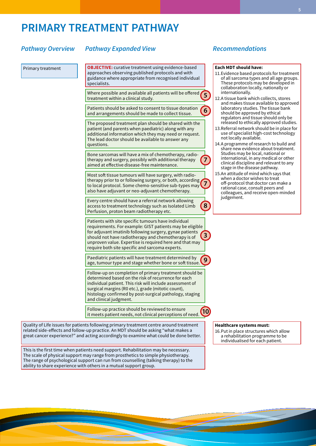## **PRIMARY TREATMENT PATHWAY**

### *Pathway Overview*

### *Pathway Expanded View Recommendations*

Primary treatment

**OBJECTIVE:** curative treatment using evidence-based approaches observing published protocols and with guidance where appropriate from recognised individual specialists.

Where possible and available all patients will be offered **5** treatment within a clinical study.

Patients should be asked to consent to tissue donation and arrangements should be made to collect tissue. **6**

The proposed treatment plan should be shared with the patient (and parents when paediatric) along with any additional information which they may need or request. The lead doctor should be available to answer any questions.

Bone sarcomas will have a mix of chemotherapy, radiotherapy and surgery, possibly with additional therapy aimed at effective disease-free maintenance. **7**

Most soft tissue tumours will have surgery, with radiotherapy prior to or following surgery, or both, according to local protocol. Some chemo-sensitive sub-types may also have adjuvant or neo-adjuvant chemotherapy. **7**

Every centre should have a referral network allowing access to treatment technology such as Isolated Limb Perfusion, proton beam radiotherapy etc. **8**

Patients with site specific tumours have individual requirements. For example: GIST patients may be eligible for adjuvant imatinib following surgery, gynae patients should not have radiotherapy and chemotherapy is of unproven value. Expertise is required here and that may require both site specific and sarcoma experts. **3**

Paediatric patients will have treatment determined by age, tumour type and stage whether bone or soft tissue. **9**

Follow-up on completion of primary treatment should be determined based on the risk of recurrence for each individual patient. This risk will include assessment of surgical margins (R0 etc.), grade (mitotic count), histology confirmed by post-surgical pathology, staging and clinical judgment.

Follow-up practice should be reviewed to ensure it meets patient needs, not clinical perceptions of need.

Quality of Life issues for patients following primary treatment centre around treatment related side-effects and follow-up practice. An MDT should be asking "what makes a great cancer experience?" and acting accordingly to examine what could be done better.

This is the first time when patients need support. Rehabilitation may be necessary. The scale of physical support may range from prosthetics to simple physiotherapy. The range of psychological support can run from counselling (talking therapy) to the ability to share experience with others in a mutual support group.

### **Each MDT should have:**

- 11.Evidence based protocols for treatment of all sarcoma types and all age groups. These protocols may be developed in collaboration locally, nationally or internationally.
- 12.A tissue bank which collects, stores and makes tissue available to approved laboratory studies. The tissue bank should be approved by ethical regulators and tissue should only be released to ethically approved studies.
- 13.Referral network should be in place for use of specialist high-cost technology not locally available.
- 14.A programme of research to build and share new evidence about treatment. Studies may be local, national or international, in any medical or other clinical discipline and relevant to any stage in the disease pathway.
- 15.An attitude of mind which says that when a doctor wishes to treat off-protocol that doctor can make a rational case, consult peers and colleagues, and receive open-minded judgement.

**Healthcare systems must:**

**10**

16.Put in place structures which allow a rehabilitation programme to be individualised for each patient.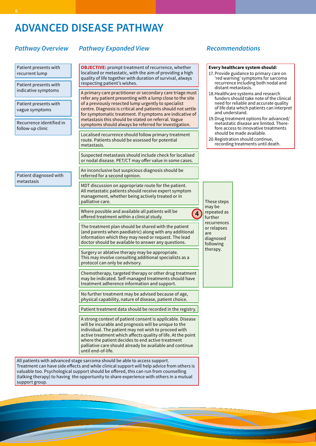# **ADVANCED DISEASE PATHWAY**

## *Pathway Expanded View Recommendations Pathway Overview*

| Patient presents with<br>recurrent lump<br>Patient presents with                        | <b>OBJECTIVE:</b> prompt treatment of recurrence, whether<br>localised or metastatic, with the aim of providing a high<br>quality of life together with duration of survival, always<br>respecting patient's wishes.                                                                                                                                                                                                                           | Every healthcare system should:<br>17. Provide guidance to primary care on<br>'red warning' symptoms for sarcoma<br>recurrence including both nodal and                                                           |
|-----------------------------------------------------------------------------------------|------------------------------------------------------------------------------------------------------------------------------------------------------------------------------------------------------------------------------------------------------------------------------------------------------------------------------------------------------------------------------------------------------------------------------------------------|-------------------------------------------------------------------------------------------------------------------------------------------------------------------------------------------------------------------|
| indicative symptoms                                                                     | A primary care practitioner or secondary care triage must<br>refer any patient presenting with a lump close to the site<br>of a previously resected lump urgently to specialist<br>centre. Diagnosis is critical and patients should not settle<br>and understand.<br>for symptomatic treatment. If symptoms are indicative of<br>metastasis this should be stated on referral. Vague<br>symptoms should always be referred for investigation. | distant metastasis.<br>18. Healthcare systems and research<br>funders should take note of the clinical                                                                                                            |
| Patient presents with<br>vague symptoms<br>Recurrence identified in<br>follow-up clinic |                                                                                                                                                                                                                                                                                                                                                                                                                                                | need for reliable and accurate quality<br>of life data which patients can interpret<br>19. Drug treatment options for advanced/<br>metastatic disease are limited. There-<br>fore access to innovative treatments |
|                                                                                         | Localised recurrence should follow primary treatment<br>route. Patients should be assessed for potential<br>metastasis.                                                                                                                                                                                                                                                                                                                        | should be made available.<br>20. Registration should continue,<br>recording treatments until death.                                                                                                               |
|                                                                                         | Suspected metastasis should include check for localised<br>or nodal disease. PET/CT may offer value in some cases.                                                                                                                                                                                                                                                                                                                             |                                                                                                                                                                                                                   |
| Patient diagnosed with<br>metastasis                                                    | An inconclusive but suspicious diagnosis should be<br>referred for a second opinion.                                                                                                                                                                                                                                                                                                                                                           |                                                                                                                                                                                                                   |
|                                                                                         | MDT discussion on appropriate route for the patient.<br>All metastatic patients should receive expert symptom<br>management, whether being actively treated or in<br>palliative care.                                                                                                                                                                                                                                                          | These steps<br>may be                                                                                                                                                                                             |
|                                                                                         | Where possible and available all patients will be<br>$\overline{\mathbf{4}}$<br>offered treatment within a clinical study.                                                                                                                                                                                                                                                                                                                     | repeated as<br>further                                                                                                                                                                                            |
|                                                                                         | The treatment plan should be shared with the patient<br>(and parents when paediatric) along with any additional<br>information which they may need or request. The lead<br>doctor should be available to answer any questions.                                                                                                                                                                                                                 | recurrences<br>or relapses<br>are<br>diagnosed<br>following                                                                                                                                                       |
|                                                                                         | Surgery or ablative therapy may be appropriate.<br>This may involve consulting additional specialists as a<br>protocol can only be advisory.                                                                                                                                                                                                                                                                                                   | therapy.                                                                                                                                                                                                          |
|                                                                                         | Chemotherapy, targeted therapy or other drug treatment<br>may be indicated. Self-managed treatments should have<br>treatment adherence information and support.                                                                                                                                                                                                                                                                                |                                                                                                                                                                                                                   |
|                                                                                         | No further treatment may be advised because of age,<br>physical capability, nature of disease, patient choice.                                                                                                                                                                                                                                                                                                                                 |                                                                                                                                                                                                                   |
|                                                                                         | Patient treatment data should be recorded in the registry.                                                                                                                                                                                                                                                                                                                                                                                     |                                                                                                                                                                                                                   |
|                                                                                         | A strong context of patient consent is applicable. Disease<br>will be incurable and prognosis will be unique to the<br>individual. The patient may not wish to proceed with<br>active treatment which affects quality of life. At the point<br>where the patient decides to end active treatment<br>palliative care should already be available and continue<br>until end-of-life.                                                             |                                                                                                                                                                                                                   |
|                                                                                         |                                                                                                                                                                                                                                                                                                                                                                                                                                                |                                                                                                                                                                                                                   |

All patients with advanced stage sarcoma should be able to access support. Treatment can have side effects and while clinical support will help advice from others is valuable too. Psychological support should be offered, this can run from counselling (talking therapy) to having the opportunity to share experience with others in a mutual support group.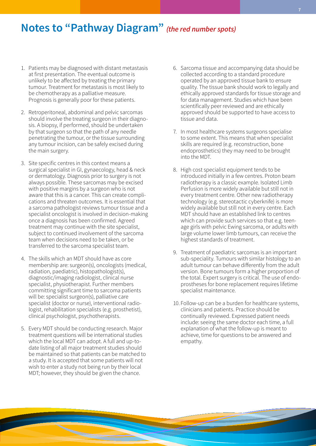## **Notes to "Pathway Diagram"** *(the red number spots)*

- 1. Patients may be diagnosed with distant metastasis at first presentation. The eventual outcome is unlikely to be affected by treating the primary tumour. Treatment for metastasis is most likely to be chemotherapy as a palliative measure. Prognosis is generally poor for these patients.
- 2. Retroperitoneal, abdominal and pelvic sarcomas should involve the treating surgeon in their diagnosis. A biopsy, if performed, should be undertaken by that surgeon so that the path of any needle penetrating the tumour, or the tissue surrounding any tumour incision, can be safely excised during the main surgery.
- 3. Site specific centres in this context means a surgical specialist in GI, gynaecology, head & neck or dermatology. Diagnosis prior to surgery is not always possible. These sarcomas may be excised with positive margins by a surgeon who is not aware that this is a cancer. This can create complications and threaten outcomes. It is essential that a sarcoma pathologist reviews tumour tissue and a specialist oncologist is involved in decision-making once a diagnosis has been confirmed. Agreed treatment may continue with the site specialist, subject to continued involvement of the sarcoma team when decisions need to be taken, or be transferred to the sarcoma specialist team.
- 4. The skills which an MDT should have as core membership are: surgeon(s), oncologists (medical, radiation, paediatric), histopathologist(s), diagnostic/imaging radiologist, clinical nurse specialist, physiotherapist. Further members committing significant time to sarcoma patients will be: specialist surgeon(s), palliative care specialist (doctor or nurse), interventional radiologist, rehabilitation specialists (e.g. prosthetist), clinical psychologist, psychotherapists.
- 5. Every MDT should be conducting research. Major treatment questions will be international studies which the local MDT can adopt. A full and up-todate listing of all major treatment studies should be maintained so that patients can be matched to a study. It is accepted that some patients will not wish to enter a study not being run by their local MDT; however, they should be given the chance.
- 6. Sarcoma tissue and accompanying data should be collected according to a standard procedure operated by an approved tissue bank to ensure quality. The tissue bank should work to legally and ethically approved standards for tissue storage and for data management. Studies which have been scientifically peer reviewed and are ethically approved should be supported to have access to tissue and data.
- 7. In most healthcare systems surgeons specialise to some extent. This means that when specialist skills are required (e.g. reconstruction, bone endoprosthetics) they may need to be brought into the MDT.
- 8. High cost specialist equipment tends to be introduced initially in a few centres. Proton beam radiotherapy is a classic example. Isolated Limb Perfusion is more widely available but still not in every treatment centre. Other new radiotherapy technology (e.g. stereotactic cyberknife) is more widely available but still not in every centre. Each MDT should have an established link to centres which can provide such services so that e.g. teenage girls with pelvic Ewing sarcoma, or adults with large volume lower limb tumours, can receive the highest standards of treatment.
- 9. Treatment of paediatric sarcomas is an important sub-speciality. Tumours with similar histology to an adult tumour can behave differently from the adult version. Bone tumours form a higher proportion of the total. Expert surgery is critical. The use of endoprostheses for bone replacement requires lifetime specialist maintenance.
- 10. Follow-up can be a burden for healthcare systems, clinicians and patients. Practice should be continually reviewed. Expressed patient needs include: seeing the same doctor each time, a full explanation of what the follow-up is meant to achieve, time for questions to be answered and empathy.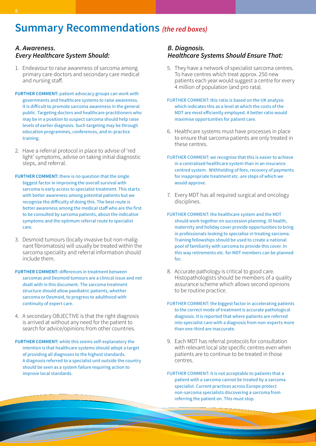# **Summary Recommendations** *(the red boxes)*

### *A. Awareness. Every Healthcare System Should:*

- 1. Endeavour to raise awareness of sarcoma among primary care doctors and secondary care medical and nursing staff.
- **FURTHER COMMENT:** patient advocacy groups can work with governments and healthcare systems to raise awareness. It is difficult to promote sarcoma awareness in the general public. Targeting doctors and healthcare practitioners who may be in a position to suspect sarcoma should help raise levels of earlier diagnosis. Such targeting may be through education programmes, conferences, and in-practice training.
- 2. Have a referral protocol in place to advise of 'red light' symptoms, advise on taking initial diagnostic steps, and referral.
- **FURTHER COMMENT:** there is no question that the single biggest factor in improving the overall survival with sarcoma is early access to specialist treatment. This starts with better awareness among potential patients but we recognize the difficulty of doing this. The best route is better awareness among the medical staff who are the first to be consulted by sarcoma patients, about the indicative symptoms and the optimum referral route to specialist care.
- 3. Desmoid tumours (locally invasive but non-malignant fibromatosis) will usually be treated within the sarcoma speciality and referral information should include them.
- **FURTHER COMMENT:** differences in treatment between sarcomas and Desmoid tumours are a clinical issue and not dealt with in this document. The sarcoma treatment structure should allow paediatric patients, whether sarcoma or Desmoid, to progress to adulthood with continuity of expert care.
- 4. A secondary OBJECTIVE is that the right diagnosis is arrived at without any need for the patient to search for advice/opinions from other countries.
- **FURTHER COMMENT:** while this seems self-explanatory the intention is that healthcare systems should adopt a target of providing all diagnoses to the highest standards. A diagnosis referred to a specialist unit outside the country should be seen as a system failure requiring action to improve local standards.

## *B. Diagnosis. Healthcare Systems Should Ensure That:*

- 5. They have a network of specialist sarcoma centres. To have centres which treat approx. 250 new patients each year would suggest a centre for every 4 million of population (and pro rata).
- FURTHER COMMENT: this ratio is based on the UK analysis which indicates this as a level at which the costs of the MDT are most efficiently employed. A better ratio would maximise opportunities for patient care.
- 6. Healthcare systems must have processes in place to ensure that sarcoma patients are only treated in these centres.
- FURTHER COMMENT: we recognise that this is easier to achieve in a centralised healthcare system than in an insurance centred system. Withholding of fees, recovery of payments for inappropriate treatment etc. are steps of which we would approve.
- 7. Every MDT has all required surgical and oncology disciplines.
- FURTHER COMMENT: the healthcare system and the MDT should work together on succession planning. Ill health, maternity and holiday cover provide opportunities to bring in professionals looking to specialise in treating sarcoma. Training fellowships should be used to create a national pool of familiarity with sarcoma to provide this cover. In this way retirements etc. for MDT members can be planned for.
- 8. Accurate pathology is critical to good care. Histopathologists should be members of a quality assurance scheme which allows second opinions to be routine practice.
- FURTHER COMMENT: the biggest factor in accelerating patients to the correct mode of treatment is accurate pathological diagnosis. It is reported that where patients are referred into specialist care with a diagnosis from non-experts more than one-third are inaccurate.
- 9. Each MDT has referral protocols for consultation with relevant local site specific centres even when patients are to continue to be treated in those centres.
- FURTHER COMMENT: it is not acceptable to patients that a patient with a sarcoma cannot be treated by a sarcoma specialist. Current practices across Europe protect non-sarcoma specialists discovering a sarcoma from referring the patient on. This must stop.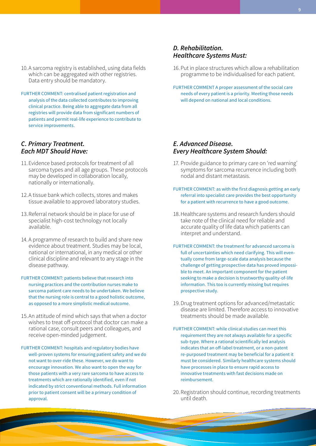- 10.A sarcoma registry is established, using data fields which can be aggregated with other registries. Data entry should be mandatory.
- FURTHER COMMENT: centralised patient registration and analysis of the data collected contributes to improving clinical practice. Being able to aggregate data from all registries will provide data from significant numbers of patients and permit real-life experience to contribute to service improvements.

### *C. Primary Treatment. Each MDT Should Have:*

- 11.Evidence based protocols for treatment of all sarcoma types and all age groups. These protocols may be developed in collaboration locally, nationally or internationally.
- 12.A tissue bank which collects, stores and makes tissue available to approved laboratory studies.
- 13.Referral network should be in place for use of specialist high-cost technology not locally available.
- 14. A programme of research to build and share new evidence about treatment. Studies may be local, national or international, in any medical or other clinical discipline and relevant to any stage in the disease pathway.
- FURTHER COMMENT: patients believe that research into nursing practices and the contribution nurses make to sarcoma patient care needs to be undertaken. We believe that the nursing role is central to a good holistic outcome, as opposed to a more simplistic medical outcome.
- 15.An attitude of mind which says that when a doctor wishes to treat off-protocol that doctor can make a rational case, consult peers and colleagues, and receive open-minded judgement.
- FURTHER COMMENT: hospitals and regulatory bodies have well-proven systems for ensuring patient safety and we do not want to over-ride these. However, we do want to encourage innovation. We also want to open the way for those patients with a very rare sarcoma to have access to treatments which are rationally identified, even if not indicated by strict conventional methods. Full information prior to patient consent will be a primary condition of approval.

### *D. Rehabilitation. Healthcare Systems Must:*

- 16.Put in place structures which allow a rehabilitation programme to be individualised for each patient.
- FURTHER COMMENT A proper assessment of the social care needs of every patient is a priority. Meeting those needs will depend on national and local conditions.

### *E. Advanced Disease. Every Healthcare System Should:*

- 17. Provide guidance to primary care on 'red warning' symptoms for sarcoma recurrence including both nodal and distant metastasis.
- FURTHER COMMENT: as with the first diagnosis getting an early referral into specialist care provides the best opportunity for a patient with recurrence to have a good outcome.
- 18.Healthcare systems and research funders should take note of the clinical need for reliable and accurate quality of life data which patients can interpret and understand.
- FURTHER COMMENT: the treatment for advanced sarcoma is full of uncertainties which need clarifying. This will eventually come from large-scale data analysis because the challenge of getting prospective data has proved impossible to meet. An important component for the patient seeking to make a decision is trustworthy quality-of-life information. This too is currently missing but requires prospective study.
- 19.Drug treatment options for advanced/metastatic disease are limited. Therefore access to innovative treatments should be made available.
- FURTHER COMMENT: while clinical studies can meet this requirement they are not always available for a specific sub-type. Where a rational scientifically led analysis indicates that an off-label treatment, or a non-patent re-purposed treatment may be beneficial for a patient it must be considered. Similarly healthcare systems should have processes in place to ensure rapid access to innovative treatments with fast decisions made on reimbursement.
- 20.Registration should continue, recording treatments until death.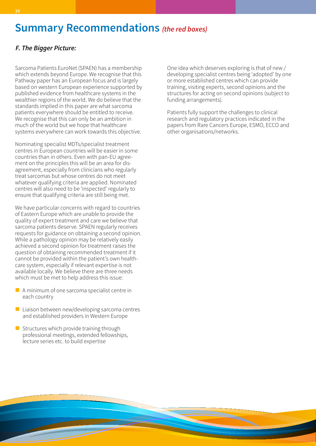## **Summary Recommendations** *(the red boxes)*

## *F. The Bigger Picture:*

Sarcoma Patients EuroNet (SPAEN) has a membership which extends beyond Europe. We recognise that this Pathway paper has an European focus and is largely based on western European experience supported by published evidence from healthcare systems in the wealthier regions of the world. We do believe that the standards implied in this paper are what sarcoma patients everywhere should be entitled to receive. We recognise that this can only be an ambition in much of the world but we hope that healthcare systems everywhere can work towards this objective.

Nominating specialist MDTs/specialist treatment centres in European countries will be easier in some countries than in others. Even with pan-EU agreement on the principles this will be an area for disagreement, especially from clinicians who regularly treat sarcomas but whose centres do not meet whatever qualifying criteria are applied. Nominated centres will also need to be 'inspected' regularly to ensure that qualifying criteria are still being met.

We have particular concerns with regard to countries of Eastern Europe which are unable to provide the quality of expert treatment and care we believe that sarcoma patients deserve. SPAEN regularly receives requests for guidance on obtaining a second opinion. While a pathology opinion may be relatively easily achieved a second opinion for treatment raises the question of obtaining recommended treatment if it cannot be provided within the patient's own healthcare system, especially if relevant expertise is not available locally. We believe there are three needs which must be met to help address this issue:

- $\blacksquare$  A minimum of one sarcoma specialist centre in each country
- $\blacksquare$  Liaison between new/developing sarcoma centres and established providers in Western Europe
- $\blacksquare$  Structures which provide training through professional meetings, extended fellowships, lecture series etc. to build expertise

One idea which deserves exploring is that of new / developing specialist centres being 'adopted' by one or more established centres which can provide training, visiting experts, second opinions and the structures for acting on second opinions (subject to funding arrangements).

Patients fully support the challenges to clinical research and regulatory practices indicated in the papers from Rare Cancers Europe, ESMO, ECCO and other organisations/networks.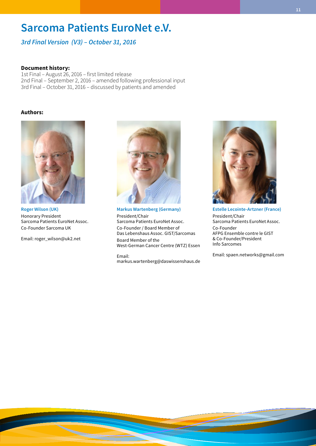## **Sarcoma Patients EuroNet e.V.**

*3rd Final Version (V3) – October 31, 2016*

### **Document history:**

1st Final – August 26, 2016 – first limited release 2nd Final – September 2, 2016 – amended following professional input 3rd Final – October 31, 2016 – discussed by patients and amended

### **Authors:**



**Roger Wilson (UK)** Honorary President Sarcoma Patients EuroNet Assoc. Co-Founder Sarcoma UK

Email: roger\_wilson@uk2.net



**Markus Wartenberg (Germany)** President/Chair Sarcoma Patients EuroNet Assoc. Co-Founder / Board Member of Das Lebenshaus Assoc. GIST/Sarcomas Board Member of the West-German Cancer Centre (WTZ) Essen

Email: markus.wartenberg@daswissenshaus.de



**Estelle Lecointe-Artzner (France)** President/Chair Sarcoma Patients EuroNet Assoc. Co-Founder AFPG Ensemble contre le GIST & Co-Founder/President Info Sarcomes

Email: spaen.networks@gmail.com